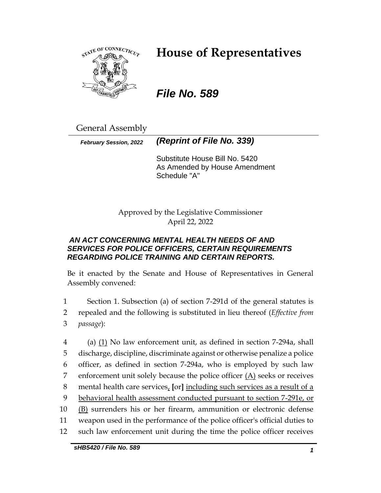

# **House of Representatives**

# *File No. 589*

General Assembly

*February Session, 2022 (Reprint of File No. 339)*

Substitute House Bill No. 5420 As Amended by House Amendment Schedule "A"

Approved by the Legislative Commissioner April 22, 2022

# *AN ACT CONCERNING MENTAL HEALTH NEEDS OF AND SERVICES FOR POLICE OFFICERS, CERTAIN REQUIREMENTS REGARDING POLICE TRAINING AND CERTAIN REPORTS.*

Be it enacted by the Senate and House of Representatives in General Assembly convened:

1 Section 1. Subsection (a) of section 7-291d of the general statutes is 2 repealed and the following is substituted in lieu thereof (*Effective from*  3 *passage*):

 (a) (1) No law enforcement unit, as defined in section 7-294a, shall discharge, discipline, discriminate against or otherwise penalize a police officer, as defined in section 7-294a, who is employed by such law 7 enforcement unit solely because the police officer  $(A)$  seeks or receives mental health care services, **[**or**]** including such services as a result of a behavioral health assessment conducted pursuant to section 7-291e, or (B) surrenders his or her firearm, ammunition or electronic defense weapon used in the performance of the police officer's official duties to such law enforcement unit during the time the police officer receives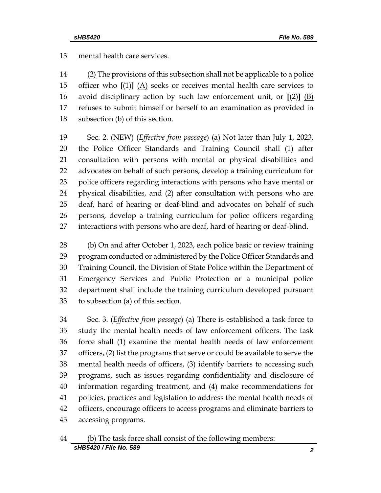mental health care services.

 $(2)$  The provisions of this subsection shall not be applicable to a police officer who **[**(1)**]** (A) seeks or receives mental health care services to avoid disciplinary action by such law enforcement unit, or **[**(2)**]** (B) refuses to submit himself or herself to an examination as provided in subsection (b) of this section.

 Sec. 2. (NEW) (*Effective from passage*) (a) Not later than July 1, 2023, the Police Officer Standards and Training Council shall (1) after consultation with persons with mental or physical disabilities and advocates on behalf of such persons, develop a training curriculum for police officers regarding interactions with persons who have mental or physical disabilities, and (2) after consultation with persons who are deaf, hard of hearing or deaf-blind and advocates on behalf of such persons, develop a training curriculum for police officers regarding interactions with persons who are deaf, hard of hearing or deaf-blind.

 (b) On and after October 1, 2023, each police basic or review training program conducted or administered by the Police Officer Standards and Training Council, the Division of State Police within the Department of Emergency Services and Public Protection or a municipal police department shall include the training curriculum developed pursuant to subsection (a) of this section.

 Sec. 3. (*Effective from passage*) (a) There is established a task force to study the mental health needs of law enforcement officers. The task force shall (1) examine the mental health needs of law enforcement officers, (2) list the programs that serve or could be available to serve the mental health needs of officers, (3) identify barriers to accessing such programs, such as issues regarding confidentiality and disclosure of information regarding treatment, and (4) make recommendations for policies, practices and legislation to address the mental health needs of officers, encourage officers to access programs and eliminate barriers to accessing programs.

# *sHB5420 / File No. 589 2* (b) The task force shall consist of the following members: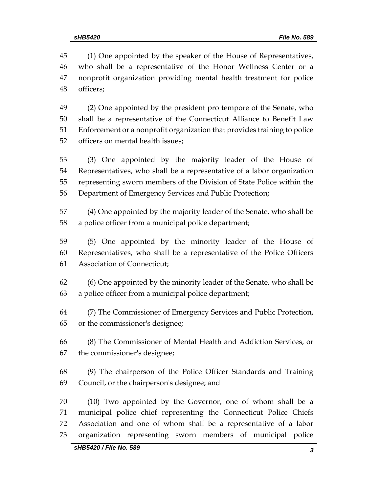(1) One appointed by the speaker of the House of Representatives, who shall be a representative of the Honor Wellness Center or a nonprofit organization providing mental health treatment for police officers;

 (2) One appointed by the president pro tempore of the Senate, who shall be a representative of the Connecticut Alliance to Benefit Law Enforcement or a nonprofit organization that provides training to police officers on mental health issues;

 (3) One appointed by the majority leader of the House of Representatives, who shall be a representative of a labor organization representing sworn members of the Division of State Police within the Department of Emergency Services and Public Protection;

 (4) One appointed by the majority leader of the Senate, who shall be a police officer from a municipal police department;

 (5) One appointed by the minority leader of the House of Representatives, who shall be a representative of the Police Officers Association of Connecticut;

 (6) One appointed by the minority leader of the Senate, who shall be a police officer from a municipal police department;

 (7) The Commissioner of Emergency Services and Public Protection, or the commissioner's designee;

 (8) The Commissioner of Mental Health and Addiction Services, or the commissioner's designee;

 (9) The chairperson of the Police Officer Standards and Training Council, or the chairperson's designee; and

 (10) Two appointed by the Governor, one of whom shall be a municipal police chief representing the Connecticut Police Chiefs Association and one of whom shall be a representative of a labor organization representing sworn members of municipal police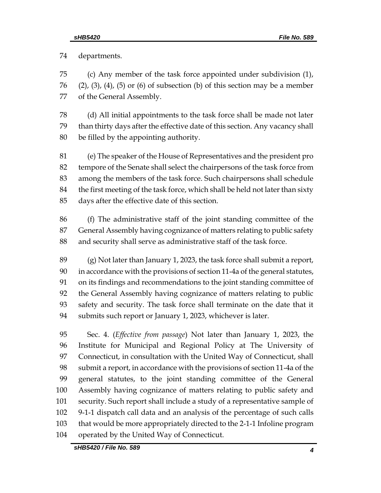departments.

 (c) Any member of the task force appointed under subdivision (1), (2), (3), (4), (5) or (6) of subsection (b) of this section may be a member of the General Assembly.

 (d) All initial appointments to the task force shall be made not later than thirty days after the effective date of this section. Any vacancy shall be filled by the appointing authority.

 (e) The speaker of the House of Representatives and the president pro tempore of the Senate shall select the chairpersons of the task force from among the members of the task force. Such chairpersons shall schedule the first meeting of the task force, which shall be held not later than sixty days after the effective date of this section.

 (f) The administrative staff of the joint standing committee of the General Assembly having cognizance of matters relating to public safety and security shall serve as administrative staff of the task force.

 (g) Not later than January 1, 2023, the task force shall submit a report, in accordance with the provisions of section 11-4a of the general statutes, on its findings and recommendations to the joint standing committee of the General Assembly having cognizance of matters relating to public safety and security. The task force shall terminate on the date that it submits such report or January 1, 2023, whichever is later.

 Sec. 4. (*Effective from passage*) Not later than January 1, 2023, the Institute for Municipal and Regional Policy at The University of Connecticut, in consultation with the United Way of Connecticut, shall submit a report, in accordance with the provisions of section 11-4a of the general statutes, to the joint standing committee of the General Assembly having cognizance of matters relating to public safety and security. Such report shall include a study of a representative sample of 9-1-1 dispatch call data and an analysis of the percentage of such calls that would be more appropriately directed to the 2-1-1 Infoline program operated by the United Way of Connecticut.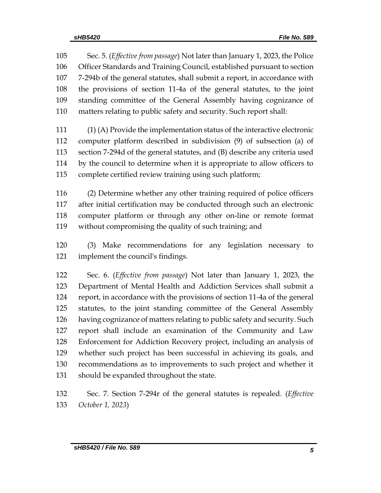Sec. 5. (*Effective from passage*) Not later than January 1, 2023, the Police Officer Standards and Training Council, established pursuant to section 7-294b of the general statutes, shall submit a report, in accordance with the provisions of section 11-4a of the general statutes, to the joint standing committee of the General Assembly having cognizance of matters relating to public safety and security. Such report shall:

 (1) (A) Provide the implementation status of the interactive electronic computer platform described in subdivision (9) of subsection (a) of section 7-294d of the general statutes, and (B) describe any criteria used by the council to determine when it is appropriate to allow officers to complete certified review training using such platform;

 (2) Determine whether any other training required of police officers after initial certification may be conducted through such an electronic computer platform or through any other on-line or remote format without compromising the quality of such training; and

 (3) Make recommendations for any legislation necessary to implement the council's findings.

 Sec. 6. (*Effective from passage*) Not later than January 1, 2023, the Department of Mental Health and Addiction Services shall submit a report, in accordance with the provisions of section 11-4a of the general statutes, to the joint standing committee of the General Assembly having cognizance of matters relating to public safety and security. Such report shall include an examination of the Community and Law Enforcement for Addiction Recovery project, including an analysis of whether such project has been successful in achieving its goals, and recommendations as to improvements to such project and whether it should be expanded throughout the state.

 Sec. 7. Section 7-294r of the general statutes is repealed. (*Effective October 1, 2023*)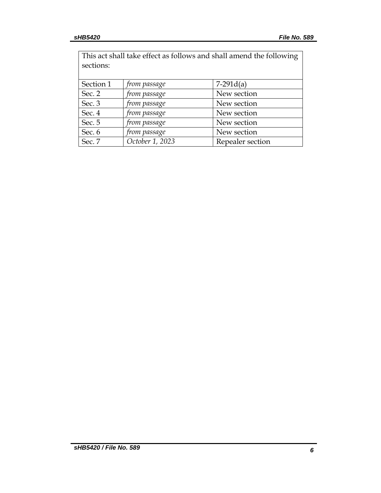| This act shall take effect as follows and shall amend the following |                 |                  |  |
|---------------------------------------------------------------------|-----------------|------------------|--|
| sections:                                                           |                 |                  |  |
|                                                                     |                 |                  |  |
| Section 1                                                           | from passage    | $7-291d(a)$      |  |
| Sec. $2$                                                            | from passage    | New section      |  |
| Sec. 3                                                              | from passage    | New section      |  |
| Sec. 4                                                              | from passage    | New section      |  |
| Sec. 5                                                              | from passage    | New section      |  |
| Sec. 6                                                              | from passage    | New section      |  |
| Sec. 7                                                              | October 1, 2023 | Repealer section |  |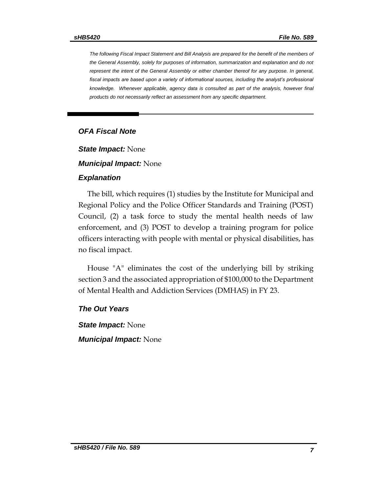*The following Fiscal Impact Statement and Bill Analysis are prepared for the benefit of the members of the General Assembly, solely for purposes of information, summarization and explanation and do not represent the intent of the General Assembly or either chamber thereof for any purpose. In general,*  fiscal impacts are based upon a variety of informational sources, including the analyst's professional *knowledge. Whenever applicable, agency data is consulted as part of the analysis, however final products do not necessarily reflect an assessment from any specific department.*

#### *OFA Fiscal Note*

*State Impact:* None

*Municipal Impact:* None

#### *Explanation*

The bill, which requires (1) studies by the Institute for Municipal and Regional Policy and the Police Officer Standards and Training (POST) Council, (2) a task force to study the mental health needs of law enforcement, and (3) POST to develop a training program for police officers interacting with people with mental or physical disabilities, has no fiscal impact.

House "A" eliminates the cost of the underlying bill by striking section 3 and the associated appropriation of \$100,000 to the Department of Mental Health and Addiction Services (DMHAS) in FY 23.

*The Out Years*

*State Impact:* None *Municipal Impact:* None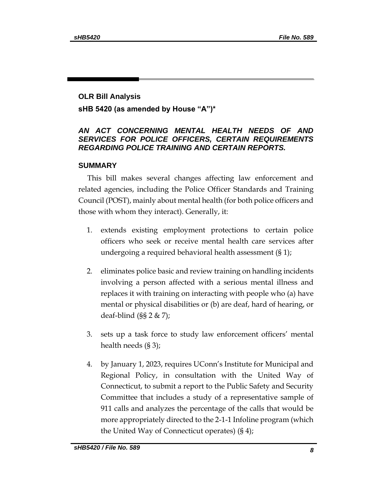# **OLR Bill Analysis sHB 5420 (as amended by House "A")\***

# *AN ACT CONCERNING MENTAL HEALTH NEEDS OF AND SERVICES FOR POLICE OFFICERS, CERTAIN REQUIREMENTS REGARDING POLICE TRAINING AND CERTAIN REPORTS.*

### **SUMMARY**

This bill makes several changes affecting law enforcement and related agencies, including the Police Officer Standards and Training Council (POST), mainly about mental health (for both police officers and those with whom they interact). Generally, it:

- 1. extends existing employment protections to certain police officers who seek or receive mental health care services after undergoing a required behavioral health assessment (§ 1);
- 2. eliminates police basic and review training on handling incidents involving a person affected with a serious mental illness and replaces it with training on interacting with people who (a) have mental or physical disabilities or (b) are deaf, hard of hearing, or deaf-blind  $(S\S 2 \& 7);$
- 3. sets up a task force to study law enforcement officers' mental health needs (§ 3);
- 4. by January 1, 2023, requires UConn's Institute for Municipal and Regional Policy, in consultation with the United Way of Connecticut, to submit a report to the Public Safety and Security Committee that includes a study of a representative sample of 911 calls and analyzes the percentage of the calls that would be more appropriately directed to the 2-1-1 Infoline program (which the United Way of Connecticut operates) (§ 4);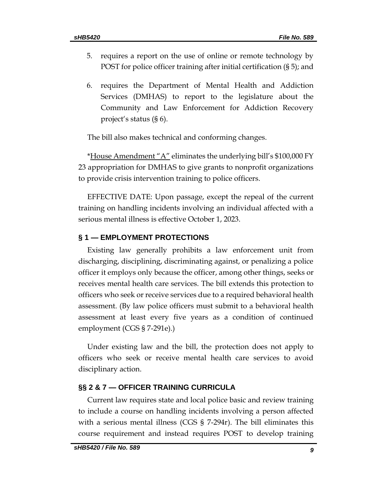- 5. requires a report on the use of online or remote technology by POST for police officer training after initial certification (§ 5); and
- 6. requires the Department of Mental Health and Addiction Services (DMHAS) to report to the legislature about the Community and Law Enforcement for Addiction Recovery project's status (§ 6).

The bill also makes technical and conforming changes.

\*House Amendment "A" eliminates the underlying bill's \$100,000 FY 23 appropriation for DMHAS to give grants to nonprofit organizations to provide crisis intervention training to police officers.

EFFECTIVE DATE: Upon passage, except the repeal of the current training on handling incidents involving an individual affected with a serious mental illness is effective October 1, 2023.

#### **§ 1 — EMPLOYMENT PROTECTIONS**

Existing law generally prohibits a law enforcement unit from discharging, disciplining, discriminating against, or penalizing a police officer it employs only because the officer, among other things, seeks or receives mental health care services. The bill extends this protection to officers who seek or receive services due to a required behavioral health assessment. (By law police officers must submit to a behavioral health assessment at least every five years as a condition of continued employment (CGS § 7-291e).)

Under existing law and the bill, the protection does not apply to officers who seek or receive mental health care services to avoid disciplinary action.

#### **§§ 2 & 7 — OFFICER TRAINING CURRICULA**

Current law requires state and local police basic and review training to include a course on handling incidents involving a person affected with a serious mental illness (CGS § 7-294r). The bill eliminates this course requirement and instead requires POST to develop training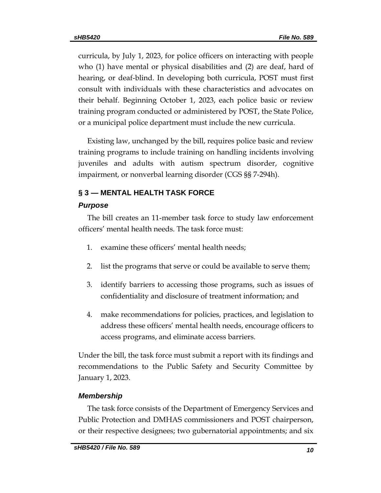curricula, by July 1, 2023, for police officers on interacting with people who (1) have mental or physical disabilities and (2) are deaf, hard of hearing, or deaf-blind. In developing both curricula, POST must first consult with individuals with these characteristics and advocates on their behalf. Beginning October 1, 2023, each police basic or review training program conducted or administered by POST, the State Police, or a municipal police department must include the new curricula.

Existing law, unchanged by the bill, requires police basic and review training programs to include training on handling incidents involving juveniles and adults with autism spectrum disorder, cognitive impairment, or nonverbal learning disorder (CGS §§ 7-294h).

# **§ 3 — MENTAL HEALTH TASK FORCE**

#### *Purpose*

The bill creates an 11-member task force to study law enforcement officers' mental health needs. The task force must:

- 1. examine these officers' mental health needs;
- 2. list the programs that serve or could be available to serve them;
- 3. identify barriers to accessing those programs, such as issues of confidentiality and disclosure of treatment information; and
- 4. make recommendations for policies, practices, and legislation to address these officers' mental health needs, encourage officers to access programs, and eliminate access barriers.

Under the bill, the task force must submit a report with its findings and recommendations to the Public Safety and Security Committee by January 1, 2023.

#### *Membership*

The task force consists of the Department of Emergency Services and Public Protection and DMHAS commissioners and POST chairperson, or their respective designees; two gubernatorial appointments; and six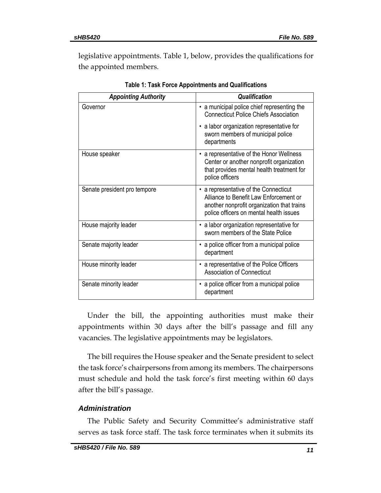legislative appointments. Table 1, below, provides the qualifications for the appointed members.

| <b>Appointing Authority</b>  | <b>Qualification</b>                                                                                                                                                     |
|------------------------------|--------------------------------------------------------------------------------------------------------------------------------------------------------------------------|
| Governor                     | • a municipal police chief representing the<br><b>Connecticut Police Chiefs Association</b>                                                                              |
|                              | a labor organization representative for<br>sworn members of municipal police<br>departments                                                                              |
| House speaker                | • a representative of the Honor Wellness<br>Center or another nonprofit organization<br>that provides mental health treatment for<br>police officers                     |
| Senate president pro tempore | • a representative of the Connecticut<br>Alliance to Benefit Law Enforcement or<br>another nonprofit organization that trains<br>police officers on mental health issues |
| House majority leader        | • a labor organization representative for<br>sworn members of the State Police                                                                                           |
| Senate majority leader       | • a police officer from a municipal police<br>department                                                                                                                 |
| House minority leader        | a representative of the Police Officers<br>٠<br><b>Association of Connecticut</b>                                                                                        |
| Senate minority leader       | • a police officer from a municipal police<br>department                                                                                                                 |

**Table 1: Task Force Appointments and Qualifications**

Under the bill, the appointing authorities must make their appointments within 30 days after the bill's passage and fill any vacancies. The legislative appointments may be legislators.

The bill requires the House speaker and the Senate president to select the task force's chairpersons from among its members. The chairpersons must schedule and hold the task force's first meeting within 60 days after the bill's passage.

# *Administration*

The Public Safety and Security Committee's administrative staff serves as task force staff. The task force terminates when it submits its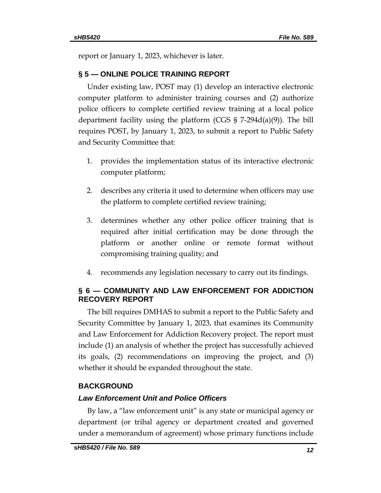report or January 1, 2023, whichever is later.

# **§ 5 — ONLINE POLICE TRAINING REPORT**

Under existing law, POST may (1) develop an interactive electronic computer platform to administer training courses and (2) authorize police officers to complete certified review training at a local police department facility using the platform (CGS § 7-294d(a)(9)). The bill requires POST, by January 1, 2023, to submit a report to Public Safety and Security Committee that:

- 1. provides the implementation status of its interactive electronic computer platform;
- 2. describes any criteria it used to determine when officers may use the platform to complete certified review training;
- 3. determines whether any other police officer training that is required after initial certification may be done through the platform or another online or remote format without compromising training quality; and
- 4. recommends any legislation necessary to carry out its findings.

# **§ 6 — COMMUNITY AND LAW ENFORCEMENT FOR ADDICTION RECOVERY REPORT**

The bill requires DMHAS to submit a report to the Public Safety and Security Committee by January 1, 2023, that examines its Community and Law Enforcement for Addiction Recovery project. The report must include (1) an analysis of whether the project has successfully achieved its goals, (2) recommendations on improving the project, and (3) whether it should be expanded throughout the state.

# **BACKGROUND**

# *Law Enforcement Unit and Police Officers*

By law, a "law enforcement unit" is any state or municipal agency or department (or tribal agency or department created and governed under a memorandum of agreement) whose primary functions include